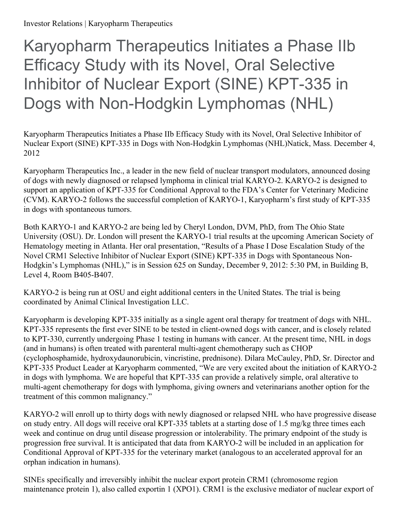## Karyopharm Therapeutics Initiates a Phase IIb Efficacy Study with its Novel, Oral Selective Inhibitor of Nuclear Export (SINE) KPT-335 in Dogs with Non-Hodgkin Lymphomas (NHL)

Karyopharm Therapeutics Initiates a Phase IIb Efficacy Study with its Novel, Oral Selective Inhibitor of Nuclear Export (SINE) KPT-335 in Dogs with Non-Hodgkin Lymphomas (NHL)Natick, Mass. December 4, 2012

Karyopharm Therapeutics Inc., a leader in the new field of nuclear transport modulators, announced dosing of dogs with newly diagnosed or relapsed lymphoma in clinical trial KARYO-2. KARYO-2 is designed to support an application of KPT-335 for Conditional Approval to the FDA's Center for Veterinary Medicine (CVM). KARYO-2 follows the successful completion of KARYO-1, Karyopharm's first study of KPT-335 in dogs with spontaneous tumors.

Both KARYO-1 and KARYO-2 are being led by Cheryl London, DVM, PhD, from The Ohio State University (OSU). Dr. London will present the KARYO-1 trial results at the upcoming American Society of Hematology meeting in Atlanta. Her oral presentation, "Results of a Phase I Dose Escalation Study of the Novel CRM1 Selective Inhibitor of Nuclear Export (SINE) KPT-335 in Dogs with Spontaneous Non-Hodgkin's Lymphomas (NHL)," is in Session 625 on Sunday, December 9, 2012: 5:30 PM, in Building B, Level 4, Room B405-B407.

KARYO-2 is being run at OSU and eight additional centers in the United States. The trial is being coordinated by Animal Clinical Investigation LLC.

Karyopharm is developing KPT-335 initially as a single agent oral therapy for treatment of dogs with NHL. KPT-335 represents the first ever SINE to be tested in client-owned dogs with cancer, and is closely related to KPT-330, currently undergoing Phase 1 testing in humans with cancer. At the present time, NHL in dogs (and in humans) is often treated with parenteral multi-agent chemotherapy such as CHOP (cyclophosphamide, hydroxydaunorubicin, vincristine, prednisone). Dilara McCauley, PhD, Sr. Director and KPT-335 Product Leader at Karyopharm commented, "We are very excited about the initiation of KARYO-2 in dogs with lymphoma. We are hopeful that KPT-335 can provide a relatively simple, oral alterative to multi-agent chemotherapy for dogs with lymphoma, giving owners and veterinarians another option for the treatment of this common malignancy."

KARYO-2 will enroll up to thirty dogs with newly diagnosed or relapsed NHL who have progressive disease on study entry. All dogs will receive oral KPT-335 tablets at a starting dose of 1.5 mg/kg three times each week and continue on drug until disease progression or intolerability. The primary endpoint of the study is progression free survival. It is anticipated that data from KARYO-2 will be included in an application for Conditional Approval of KPT-335 for the veterinary market (analogous to an accelerated approval for an orphan indication in humans).

SINEs specifically and irreversibly inhibit the nuclear export protein CRM1 (chromosome region maintenance protein 1), also called exportin 1 (XPO1). CRM1 is the exclusive mediator of nuclear export of